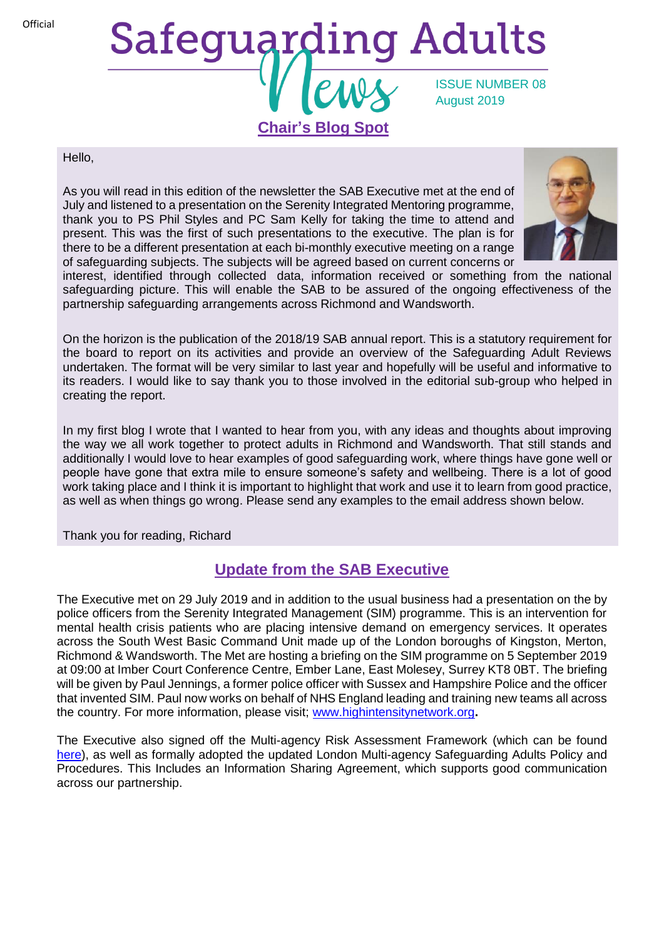**Official** 

# Safeguarding Adults ISSUE NUMBER 08 August 2019 **Chair's Blog Spot**

#### Hello,

As you will read in this edition of the newsletter the SAB Executive met at the end of July and listened to a presentation on the Serenity Integrated Mentoring programme, thank you to PS Phil Styles and PC Sam Kelly for taking the time to attend and present. This was the first of such presentations to the executive. The plan is for there to be a different presentation at each bi-monthly executive meeting on a range of safeguarding subjects. The subjects will be agreed based on current concerns or



interest, identified through collected data, information received or something from the national safeguarding picture. This will enable the SAB to be assured of the ongoing effectiveness of the partnership safeguarding arrangements across Richmond and Wandsworth.

On the horizon is the publication of the 2018/19 SAB annual report. This is a statutory requirement for the board to report on its activities and provide an overview of the Safeguarding Adult Reviews undertaken. The format will be very similar to last year and hopefully will be useful and informative to its readers. I would like to say thank you to those involved in the editorial sub-group who helped in creating the report.

In my first blog I wrote that I wanted to hear from you, with any ideas and thoughts about improving the way we all work together to protect adults in Richmond and Wandsworth. That still stands and additionally I would love to hear examples of good safeguarding work, where things have gone well or people have gone that extra mile to ensure someone's safety and wellbeing. There is a lot of good work taking place and I think it is important to highlight that work and use it to learn from good practice, as well as when things go wrong. Please send any examples to the email address shown below.

Thank you for reading, Richard

## **Update from the SAB Executive**

The Executive met on 29 July 2019 and in addition to the usual business had a presentation on the by police officers from the Serenity Integrated Management (SIM) programme. This is an intervention for mental health crisis patients who are placing intensive demand on emergency services. It operates across the South West Basic Command Unit made up of the London boroughs of Kingston, Merton, Richmond & Wandsworth. The Met are hosting a briefing on the SIM programme on 5 September 2019 at 09:00 at Imber Court Conference Centre, Ember Lane, East Molesey, Surrey KT8 0BT. The briefing will be given by Paul Jennings, a former police officer with Sussex and Hampshire Police and the officer that invented SIM. Paul now works on behalf of NHS England leading and training new teams all across the country. For more information, please visit; [www.highintensitynetwork.org](http://www.highintensitynetwork.org/)**.**

The Executive also signed off the Multi-agency Risk Assessment Framework (which can be found [here\)](https://www.richmond.gov.uk/council/how_we_work/partnerships/sab/safeguarding_adults_board_resources#policies), as well as formally adopted the updated London Multi-agency Safeguarding Adults Policy and Procedures. This Includes an Information Sharing Agreement, which supports good communication across our partnership.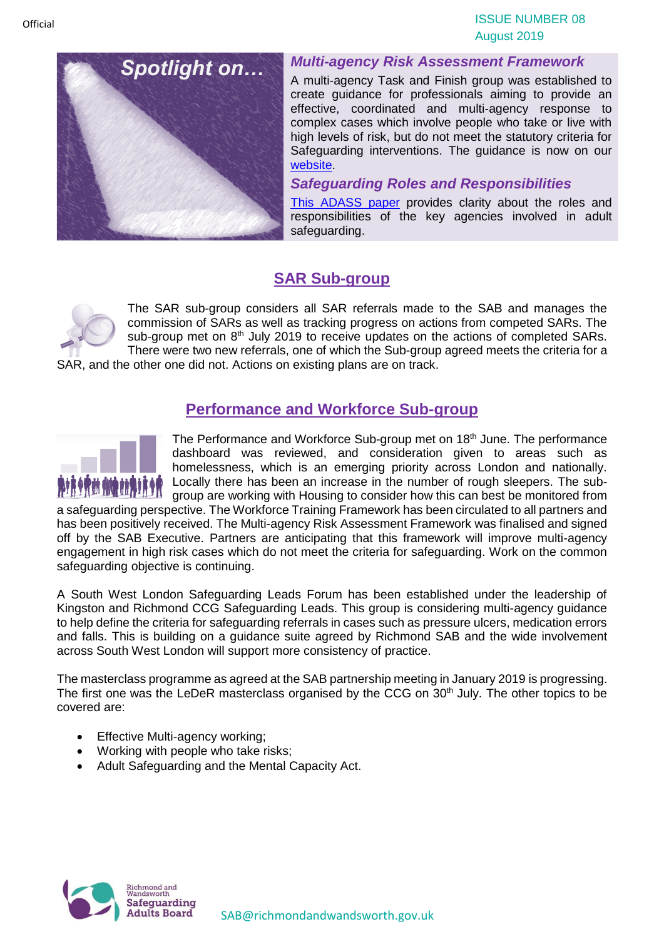

#### *Multi-agency Risk Assessment Framework*

A multi-agency Task and Finish group was established to create guidance for professionals aiming to provide an effective, coordinated and multi-agency response to complex cases which involve people who take or live with high levels of risk, but do not meet the statutory criteria for Safeguarding interventions. The guidance is now on our [website.](https://www.richmond.gov.uk/council/how_we_work/partnerships/sab/safeguarding_adults_board_resources#policies)

#### *Safeguarding Roles and Responsibilities*

[This ADASS paper](https://www.richmond.gov.uk/media/17518/safeguarding_adults_roles_and_responsibilities_in_health_and_care_services.pdf) provides clarity about the roles and responsibilities of the key agencies involved in adult safeguarding.

# **SAR Sub-group**



The SAR sub-group considers all SAR referrals made to the SAB and manages the commission of SARs as well as tracking progress on actions from competed SARs. The sub-group met on 8<sup>th</sup> July 2019 to receive updates on the actions of completed SARs. There were two new referrals, one of which the Sub-group agreed meets the criteria for a

SAR, and the other one did not. Actions on existing plans are on track.

### **Performance and Workforce Sub-group**



The Performance and Workforce Sub-group met on 18<sup>th</sup> June. The performance dashboard was reviewed, and consideration given to areas such as homelessness, which is an emerging priority across London and nationally. Locally there has been an increase in the number of rough sleepers. The subgroup are working with Housing to consider how this can best be monitored from

a safeguarding perspective. The Workforce Training Framework has been circulated to all partners and has been positively received. The Multi-agency Risk Assessment Framework was finalised and signed off by the SAB Executive. Partners are anticipating that this framework will improve multi-agency engagement in high risk cases which do not meet the criteria for safeguarding. Work on the common safeguarding objective is continuing.

A South West London Safeguarding Leads Forum has been established under the leadership of Kingston and Richmond CCG Safeguarding Leads. This group is considering multi-agency guidance to help define the criteria for safeguarding referrals in cases such as pressure ulcers, medication errors and falls. This is building on a guidance suite agreed by Richmond SAB and the wide involvement across South West London will support more consistency of practice.

The masterclass programme as agreed at the SAB partnership meeting in January 2019 is progressing. The first one was the LeDeR masterclass organised by the CCG on  $30<sup>th</sup>$  July. The other topics to be covered are:

- Effective Multi-agency working;
- Working with people who take risks;
- Adult Safeguarding and the Mental Capacity Act.

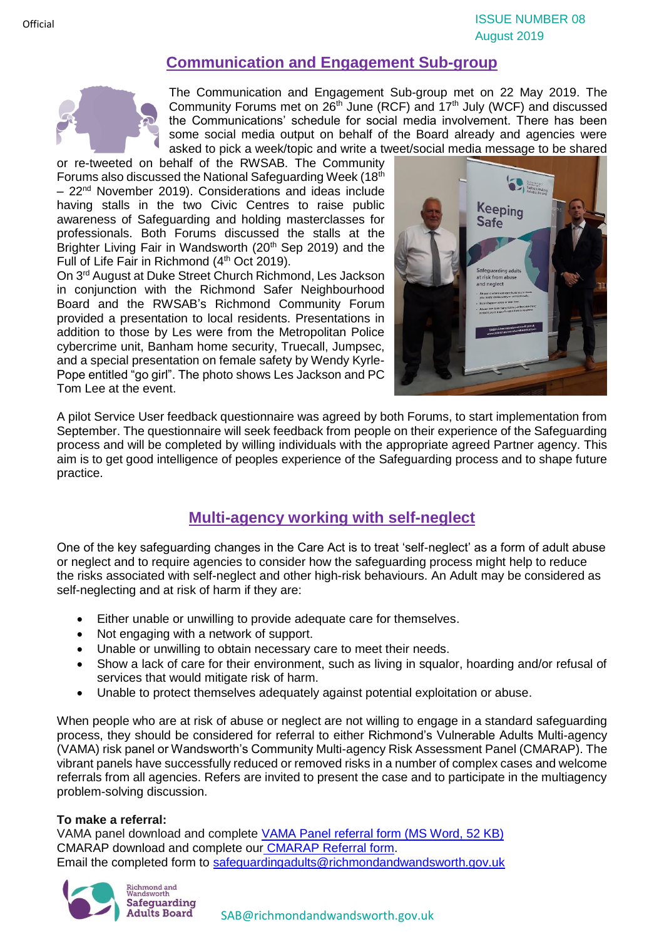## **Communication and Engagement Sub-group**



The Communication and Engagement Sub-group met on 22 May 2019. The Community Forums met on  $26<sup>th</sup>$  June (RCF) and  $17<sup>th</sup>$  July (WCF) and discussed the Communications' schedule for social media involvement. There has been some social media output on behalf of the Board already and agencies were asked to pick a week/topic and write a tweet/social media message to be shared

or re-tweeted on behalf of the RWSAB. The Community Forums also discussed the National Safeguarding Week (18th)  $-22<sup>nd</sup>$  November 2019). Considerations and ideas include having stalls in the two Civic Centres to raise public awareness of Safeguarding and holding masterclasses for professionals. Both Forums discussed the stalls at the Brighter Living Fair in Wandsworth (20<sup>th</sup> Sep 2019) and the Full of Life Fair in Richmond (4<sup>th</sup> Oct 2019).

On 3<sup>rd</sup> August at Duke Street Church Richmond, Les Jackson in conjunction with the Richmond Safer Neighbourhood Board and the RWSAB's Richmond Community Forum provided a presentation to local residents. Presentations in addition to those by Les were from the Metropolitan Police cybercrime unit, Banham home security, Truecall, Jumpsec, and a special presentation on female safety by Wendy Kyrle-Pope entitled "go girl". The photo shows Les Jackson and PC Tom Lee at the event.



A pilot Service User feedback questionnaire was agreed by both Forums, to start implementation from September. The questionnaire will seek feedback from people on their experience of the Safeguarding process and will be completed by willing individuals with the appropriate agreed Partner agency. This aim is to get good intelligence of peoples experience of the Safeguarding process and to shape future practice.

# **Multi-agency working with self-neglect**

One of the key safeguarding changes in the Care Act is to treat 'self-neglect' as a form of adult abuse or neglect and to require agencies to consider how the safeguarding process might help to reduce the risks associated with self-neglect and other high-risk behaviours. An Adult may be considered as self-neglecting and at risk of harm if they are:

- Either unable or unwilling to provide adequate care for themselves.
- Not engaging with a network of support.
- Unable or unwilling to obtain necessary care to meet their needs.
- Show a lack of care for their environment, such as living in squalor, hoarding and/or refusal of services that would mitigate risk of harm.
- Unable to protect themselves adequately against potential exploitation or abuse.

When people who are at risk of abuse or neglect are not willing to engage in a standard safeguarding process, they should be considered for referral to either Richmond's Vulnerable Adults Multi-agency (VAMA) risk panel or Wandsworth's Community Multi-agency Risk Assessment Panel (CMARAP). The vibrant panels have successfully reduced or removed risks in a number of complex cases and welcome referrals from all agencies. Refers are invited to present the case and to participate in the multiagency problem-solving discussion.

#### **To make a referral:**

VAMA panel download and complete [VAMA Panel referral form \(MS Word, 52 KB\)](https://www.richmond.gov.uk/media/10750/vama_panel_referral_form.docx) CMARAP download and complete our [CMARAP Referral form.](https://www.wandsworth.gov.uk/media/4470/cmarap-referral-form.docx) Email the completed form to [safeguardingadults@richmondandwandsworth.gov.uk](mailto:safeguardingadults@richmondandwandsworth.gov.uk)



**Official** 

[SAB@richmondandwandsworth.gov.uk](mailto:SAB@richmondandwandsworth.gov.uk)